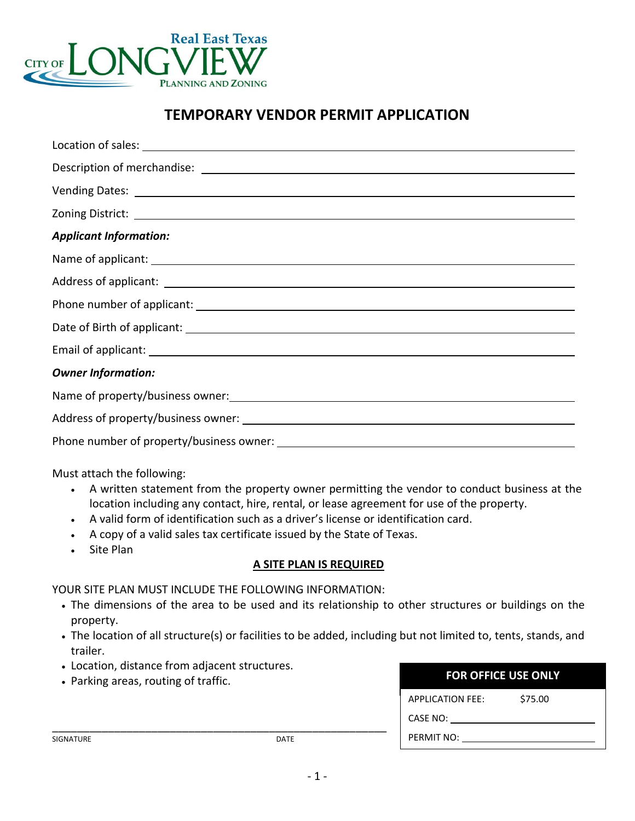

# **TEMPORARY VENDOR PERMIT APPLICATION**

| Vending Dates: <u>New York: William School Communication</u> Communication Communication Communication Communication      |
|---------------------------------------------------------------------------------------------------------------------------|
| Zoning District: <u>Andrea Communications and Communications and Communications and Communications and Communications</u> |
| <b>Applicant Information:</b>                                                                                             |
|                                                                                                                           |
|                                                                                                                           |
|                                                                                                                           |
|                                                                                                                           |
|                                                                                                                           |
| <b>Owner Information:</b>                                                                                                 |
| Name of property/business owner:<br>Name of property/business owner:                                                      |
|                                                                                                                           |
|                                                                                                                           |

Must attach the following:

- A written statement from the property owner permitting the vendor to conduct business at the location including any contact, hire, rental, or lease agreement for use of the property.
- A valid form of identification such as a driver's license or identification card.
- A copy of a valid sales tax certificate issued by the State of Texas.
- Site Plan

### **A SITE PLAN IS REQUIRED**

#### YOUR SITE PLAN MUST INCLUDE THE FOLLOWING INFORMATION:

\_\_\_\_\_\_\_\_\_\_\_\_\_\_\_\_\_\_\_\_\_\_\_\_\_\_\_\_\_\_\_\_\_\_\_\_\_\_\_\_\_\_\_\_\_\_\_\_\_\_\_\_\_\_

- The dimensions of the area to be used and its relationship to other structures or buildings on the property.
- The location of all structure(s) or facilities to be added, including but not limited to, tents, stands, and trailer.
- Location, distance from adjacent structures.
- Parking areas, routing of traffic.

| <b>FOR OFFICE USE ONLY</b> |         |
|----------------------------|---------|
| <b>APPLICATION FFF:</b>    | \$75.00 |
| CASE NO:                   |         |
| PERMIT NO:                 |         |

SIGNATURE DATE